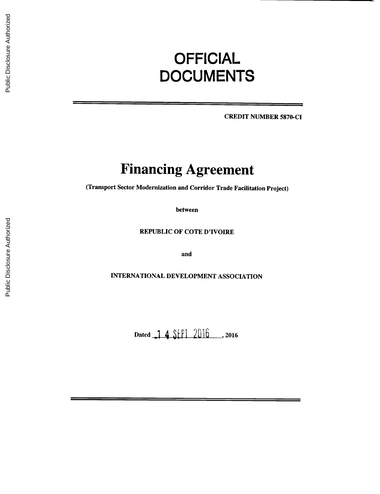# **OFFICIAL DOCUMENTS**

CREDIT **NUMBER 5870-CI**

## **Financing Agreement**

(Transport Sector Modernization and Corridor Trade Facilitation Project)

between

REPUBLIC OF **COTE** D'IVOIRE

and

**INTERNATIONAL DEVELOPMENT ASSOCIATION**

Dated 1 4 SEPI 2016 ..., 2016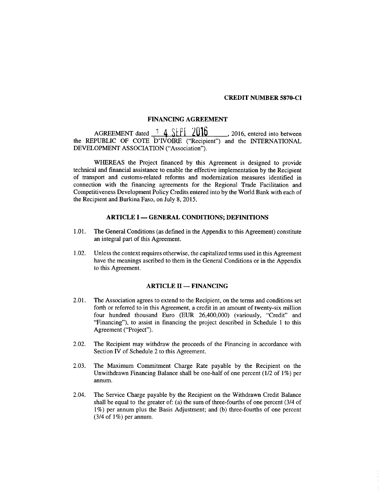#### CREDIT **NUMBER 5870-Cl**

## **FINANCING AGREEMENT**

**AGREEMENT** dated **1 4 SEPI 2016 , 2016, entered into between** the REPUBLIC OF **COTE** D'IVOIRE ("Recipient") and the **INTERNATIONAL DEVELOPMENT ASSOCIATION** ("Association").

WHEREAS the Project financed **by** this Agreement is designed to provide technical and financial assistance to enable the effective implementation **by** the Recipient of transport and customs-related reforms and modernization measures identified in connection with the financing agreements for the Regional Trade Facilitation and Competitiveness Development Policy Credits entered into **by** the World Bank with each of the Recipient and Burkina Faso, on July **8,** *2015.*

#### **ARTICLE I - GENERAL CONDITIONS; DEFINITIONS**

- **1.01.** The General Conditions (as defined in the Appendix to this Agreement) constitute an integral part of this Agreement.
- 1.02. Unless the context requires otherwise, the capitalized terms used in this Agreement have the meanings ascribed to them in the General Conditions or in the Appendix to this Agreement.

## **ARTICLE II - FINANCING**

- 2.01. The Association agrees to extend to the Recipient, on the terms and conditions set forth or referred to in this Agreement, a credit in an amount of twenty-six million four hundred thousand Euro **(EUR** 26,400,000) (variously, "Credit" and "Financing"), to assist in financing the project described in Schedule 1 to this Agreement ("Project").
- 2.02. The Recipient may withdraw the proceeds of the Financing in accordance with Section IV of Schedule 2 to this Agreement.
- **2.03.** The Maximum Commitment Charge Rate payable **by** the Recipient on the Unwithdrawn Financing Balance shall be one-half of one percent (1/2 of **1%)** per annum.
- 2.04. The Service Charge payable **by** the Recipient on the Withdrawn Credit Balance shall be equal to the greater of: (a) the sum of three-fourths of one percent (3/4 of **1%)** per annum plus the Basis Adjustment; and **(b)** three-fourths of one percent (3/4 of **1%)** per annum.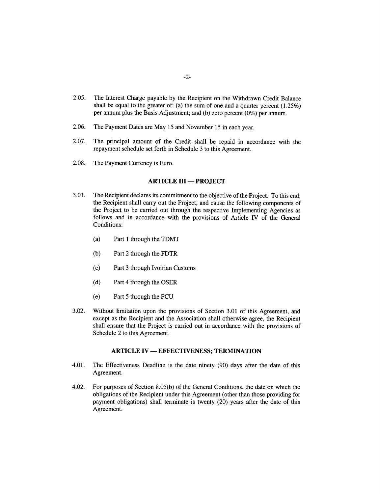- **2.05.** The Interest Charge payable **by** the Recipient on the Withdrawn Credit Balance shall be equal to the greater of: (a) the sum of one and a quarter percent *(1.25%)* per annum plus the Basis Adjustment; and **(b)** zero percent **(0%)** per annum.
- **2.06.** The Payment Dates are May **15** and November **15** in each year.
- **2.07.** The principal amount of the Credit shall be repaid in accordance with the repayment schedule set forth in Schedule **3** to this Agreement.
- **2.08.** The Payment Currency is Euro.

#### **ARTICLE III - PROJECT**

- **3.01.** The Recipient declares its commitment to the objective of the Project. To this end, the Recipient shall carry out the Project, and cause the following components of the Project to be carried out through the respective Implementing Agencies as follows and in accordance with the provisions of Article IV of the General Conditions:
	- (a) Part **I** through the TDMT
	- **(b)** Part 2 through the FDTR
	- **(c)** Part **3** through Ivoirian Customs
	- **(d)** Part 4 through the OSER
	- (e) Part *5* through the **PCU**
- **3.02.** Without limitation upon the provisions of Section **3.01** of this Agreement, and except as the Recipient and the Association shall otherwise agree, the Recipient shall ensure that the Project is carried out in accordance with the provisions of Schedule 2 to this Agreement.

## **ARTICLE IV - EFFECTIVENESS; TERMINATION**

- 4.01. The Effectiveness Deadline is the date ninety **(90)** days after the date of this Agreement.
- 4.02. For purposes of Section **8.05(b)** of the General Conditions, the date on which the obligations of the Recipient under this Agreement (other than those providing for payment obligations) shall terminate is twenty (20) years after the date of this Agreement.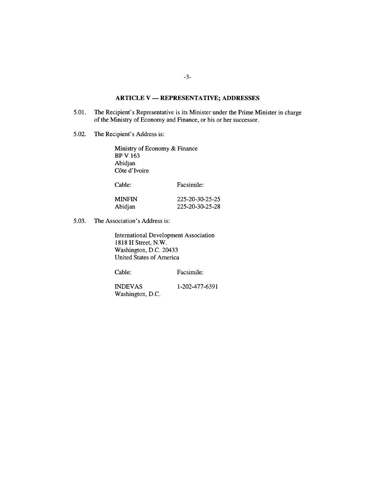## **ARTICLE V - REPRESENTATIVE; ADDRESSES**

- **5.01.** The Recipient's Representative is its Minister under the Prime Minister in charge of the Ministry of Economy and Finance, or his or her successor.
- *5.02.* The Recipient's Address is:

Ministry of Economy **&** Finance BP V **163** Abidjan C6te d'Ivoire

| MINFIN  | 225-20-30-25-25 |
|---------|-----------------|
| Abidjan | 225-20-30-25-28 |

**5.03.** The Association's Address is:

International Development Association **1818** H Street, N.W. Washington, **D.C.** 20433 United States of America

Cable: Facsimile:

**INDEVAS 1-202-477-6391** Washington, **D.C.**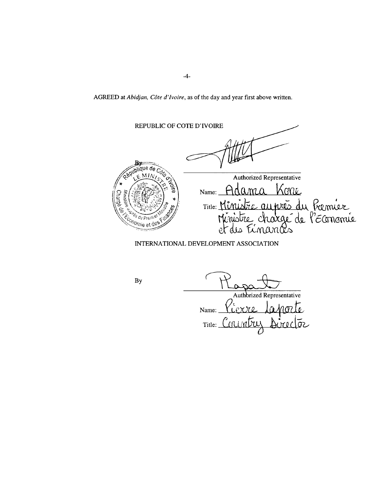AGREED *at Abidjan, Cåte d'Ivoire,* as of the day and year first above written.

REPUBLIC OF **COTE** D'IVOIRE qublique de Authorized Representative Name: HOQMLQ KON Title: Minustre ( <sup>8</sup> du Pres conomie et des

INTERNATIONAL **DEVELOPMENT ASSOCIATION**

**By**

Authbrized Representative

Name: \?1QXXQ£. *Ån7* Title: Conjuntar بق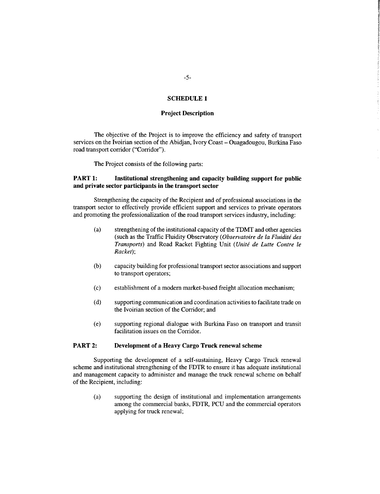## **SCHEDULE1**

## **Project Description**

The objective of the Project is to improve the efficiency and safety of transport services on the Ivoirian section of the Abidjan, Ivory Coast **-** Ouagadougou, Burkina Faso road transport corridor ("Corridor").

The Project consists of the following parts:

## **PART 1:** Institutional strengthening and capacity building support for public **and private sector participants in the transport sector**

Strengthening the capacity of the Recipient and of professional associations in the transport sector to effectively provide efficient support and services to private operators and promoting the professionalization of the road transport services industry, including:

- (a) strengthening of the institutional capacity of the TDMT and other agencies (such as the Traffic Fluidity Observatory *(Observatoire de la Fluiditi des Transports)* and Road Racket Fighting Unit *(Uniti de Lutte Contre le Racket);*
- **(b)** capacity building for professional transport sector associations and support to transport operators;
- **(c)** establishment of a modem market-based freight allocation mechanism;
- **(d)** supporting communication and coordination activities to facilitate trade on the Ivoirian section of the Corridor; and
- (e) supporting regional dialogue with Burkina Faso on transport and transit facilitation issues on the Corridor.

## **PART** 2: Development of a **Heavy Cargo Truck renewal scheme**

Supporting the development of a self-sustaining, Heavy Cargo Truck renewal scheme and institutional strengthening of the FDTR to ensure it has adequate institutional and management capacity to administer and manage the truck renewal scheme on behalf of the Recipient, including:

(a) supporting the design of institutional and implementation arrangements among the commercial banks, FDTR, **PCU** and the commercial operators applying for truck renewal;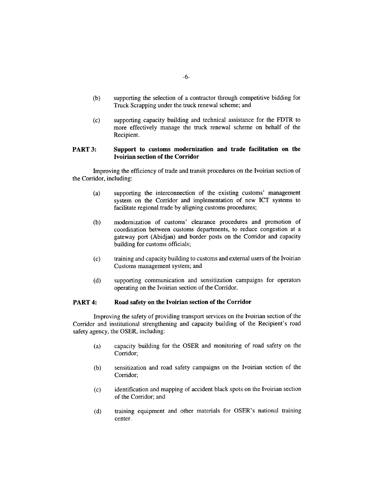- **(b)** supporting the selection of a contractor through competitive bidding for Truck Scrapping under the truck renewal scheme; and
- **(c)** supporting capacity building and technical assistance for the FDTR to more effectively manage the truck renewal scheme on behalf of the Recipient.

## **PART 3: Support to customs modernization and trade facilitation on the Ivoirian section of the Corridor**

Improving **the** efficiency of trade and transit procedures on **the** Ivoirian section of the Corridor, including:

- (a) supporting the interconnection of the existing customs' management system on the Corridor and implementation of new ICT systems to facilitate regional trade **by** aligning customs procedures;
- **(b)** modernization of customs' clearance procedures and promotion of coordination between customs departments, to reduce congestion at a gateway port (Abidjan) and border posts on the Corridor and capacity building for customs officials;
- **(c)** training and capacity building to customs and external users of the Ivoirian Customs management system; and
- **(d)** supporting communication and sensitization campaigns for operators operating on the Ivoirian section of the Corridor.

## **PART 4: Road safety on the Ivoirian section of the Corridor**

Improving the safety of providing transport services on the Ivoirian section of the Corridor and institutional strengthening and capacity building of the Recipient's road safety agency, the OSER, including:

- (a) capacity building for the OSER and monitoring of road safety on the Corridor;
- **(b)** sensitization and road safety campaigns on the Ivoirian section of the Corridor;
- **(c)** identification and mapping of accident black spots on the Ivoirian section of the Corridor; and
- **(d)** training equipment and other materials for OSER's national training center.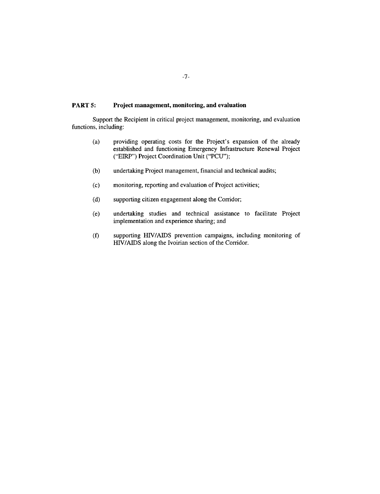## **PART 5: Project management, monitoring, and evaluation**

Support the Recipient in critical project management, monitoring, and evaluation functions, including:

- (a) providing operating costs for the Project's expansion of the already established and functioning Emergency Infrastructure Renewal Project ("EIRP") Project Coordination Unit **("PCU");**
- **(b)** undertaking Project management, financial and technical audits;
- **(c)** monitoring, reporting and evaluation of Project activities;
- **(d)** supporting citizen engagement along the Corridor;
- (e) undertaking studies and technical assistance to facilitate Project implementation and experience sharing; and
- **(f)** supporting HIV/AIDS prevention campaigns, including monitoring of *HIV/AIDS* along the Ivoirian section of the Corridor.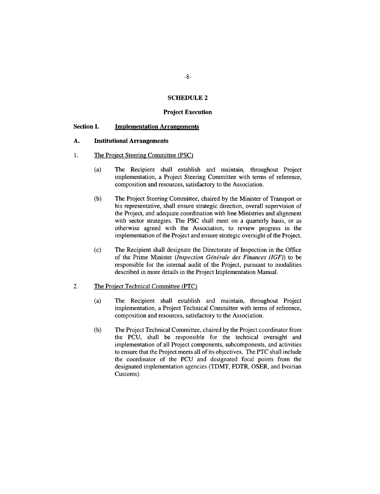#### **SCHEDULE 2**

#### **Project Execution**

#### **Section I. Implementation Arrangements**

#### **A. Institutional Arrangements**

- 1. The Project Steering Committee **(PSC)**
	- (a) The Recipient shall establish and maintain, throughout Project implementation, a Project Steering Committee with terms of reference, composition and resources, satisfactory to the Association.
	- **(b)** The Project Steering Committee, chaired **by** the Minister of Transport or his representative, shall ensure strategic direction, overall supervision of the Project, and adequate coordination with line Ministries and alignment with sector strategies. The **PSC** shall meet on a quarterly basis, or as otherwise agreed with the Association, to review progress in the implementation of the Project and ensure strategic oversight of the Project.
	- **(c)** The Recipient shall designate the Directorate of Inspection in the Office of the Prime Minister *(Inspection Générale des Finances (IGF)*) to be responsible for the internal audit of the Project, pursuant to modalities described in more details in the Project Implementation Manual.

#### 2. The Project Technical Committee (PTC)

- (a) The Recipient shall establish and maintain, throughout Project implementation, a Project Technical Committee with terms of reference, composition and resources, satisfactory to the Association.
- **(b)** The Project Technical Committee, chaired **by** the Project coordinator from the **PCU,** shall be responsible for the technical oversight and implementation of all Project components, subcomponents, and activities to ensure that the Project meets all of its objectives. The PTC shall include the coordinator of the **PCU** and designated focal points from the designated implementation agencies (TDMT, FDTR, OSER, and Ivoirian Customs).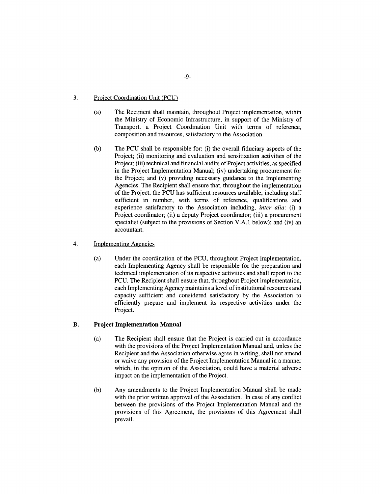## **3.** Project Coordination Unit **(PCU)**

- (a) The Recipient shall maintain, throughout Project implementation, within the Ministry of Economic Infrastructure, in support of the Ministry of Transport, a Project Coordination Unit with terms of reference, composition and resources, satisfactory to the Association.
- **(b)** The **PCU** shall be responsible for: (i) the overall fiduciary aspects of the Project; (ii) monitoring and evaluation and sensitization activities of the Project; (iii) technical and financial audits of Project activities, as specified in the Project Implementation Manual; (iv) undertaking procurement for the Project; and (v) providing necessary guidance to the Implementing Agencies. The Recipient shall ensure that, throughout the implementation of the Project, the **PCU** has sufficient resources available, including staff sufficient in number, with terms of reference, qualifications and experience satisfactory to the Association including, *inter alia:* (i) a Project coordinator; (ii) a deputy Project coordinator; (iii) a procurement specialist (subject to the provisions of Section V.A.1 below); and (iv) an accountant.

## 4. Implementing Agencies

(a) Under the coordination of the **PCU,** throughout Project implementation, each Implementing Agency shall be responsible for the preparation and technical implementation of its respective activities and shall report to the **PCU.** The Recipient shall ensure that, throughout Project implementation, each Implementing Agency maintains a level of institutional resources and capacity sufficient and considered satisfactory **by** the Association to efficiently prepare and implement its respective activities under the Project.

#### B. **Project Implementation Manual**

- (a) The Recipient shall ensure that the Project is carried out in accordance with the provisions of the Project Implementation Manual and, unless the Recipient and the Association otherwise agree in writing, shall not amend or waive any provision of the Project Implementation Manual in a manner which, in the opinion of the Association, could have a material adverse impact on the implementation of the Project.
- **(b)** Any amendments to the Project Implementation Manual shall **be** made with the prior written approval of the Association. In case of any conflict between the provisions of the Project Implementation Manual and the provisions of this Agreement, the provisions of this Agreement shall prevail.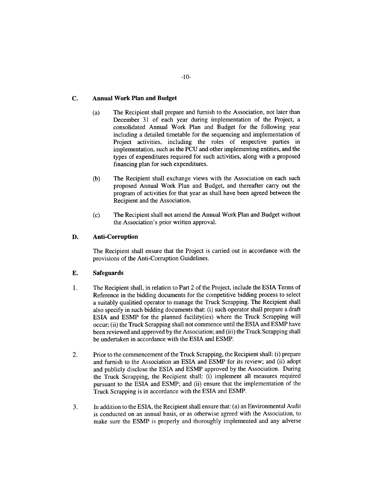## **C. Annual Work Plan and Budget**

- **(a) The** Recipient shall prepare and furnish to the Association, not later than December **31** of each year during implementation of the Project, a consolidated Annual Work Plan and Budget for the following year including a detailed timetable for the sequencing and implementation of Project activities, including the roles of respective parties in implementation, such as the **PCU** and other implementing entities, and the types of expenditures required for such activities, along with a proposed financing plan for such expenditures.
- **(b)** The Recipient shall exchange views with the Association on each such proposed Annual Work Plan and Budget, and thereafter carry out the program of activities for that year as shall have been agreed between the Recipient and the Association.
- **(c)** The Recipient shall not amend the Annual Work Plan and Budget without the Association's prior written approval.

## **D. Anti-Corruption**

The Recipient shall ensure that the Project is carried out in accordance with the provisions of the Anti-Corruption Guidelines.

## **E.** Safeguards

- **1.** The Recipient shall, in relation to Part 2 of the Project, include the **ESIA** Terms of Reference in the bidding documents for the competitive bidding process to select a suitably qualitied operator to manage the Truck Scrapping. The Recipient shall also specify in such bidding documents that: (i) such operator shall prepare a draft **ESIA** and **ESMP** for the planned facility(ies) where the Truck Scrapping will occur; (ii) the Truck Scrapping shall not commence until the **ESIA** and **ESMP** have been reviewed and approved **by** the Association; and (iii) the Truck Scrapping shall be undertaken in accordance with the **ESIA** and **ESMP.**
- 2. Prior to the commencement of the Truck Scrapping, the Recipient shall: (i) prepare and furnish to the Association an **ESIA** and **ESMP** for its review; and (ii) adopt and publicly disclose the **ESIA** and **ESMP** approved **by** the Association. During the Truck Scrapping, the Recipient shall: (i) implement all measures required pursuant to the **ESIA** and **ESMP;** and (ii) ensure that the implementation of the Truck Scrapping is in accordance with the **ESIA** and **ESMP.**
- **3.** In addition to the **ESIA,** the Recipient shall ensure that: (a) an Environmental Audit is conducted on an annual basis, or as otherwise agreed with the Association, to make sure the **ESMP** is properly and thoroughly implemented and any adverse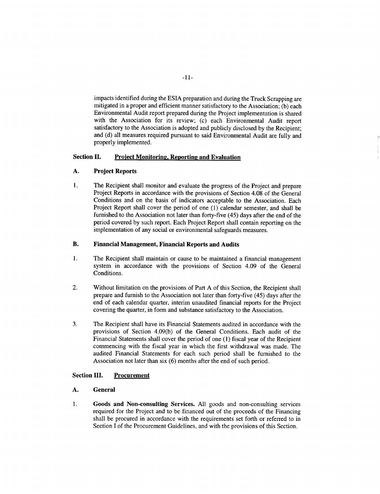impacts identified during the **ESIA** preparation and during the Truck Scrapping are mitigated in a proper and efficient manner satisfactory to the Association; **(b)** each Environmental Audit report prepared during the Project implementation is shared with the Association for its review; (c) each Environmental Audit report satisfactory to the Association is adopted and publicly disclosed **by** the Recipient; and **(d)** all measures required pursuant to said Environmental Audit are fully and properly implemented.

## **Section II. Project Monitoring, Reporting and Evaluation**

#### **A. Project Reports**

**I.** The Recipient shall monitor and evaluate the progress of the Project and prepare Project Reports in accordance with the provisions of Section 4.08 of the General Conditions and on the basis of indicators acceptable to the Association. Each Project Report shall cover the period of one **(1)** calendar semester, and shall be furnished to the Association not later than forty-five (45) days after the end of the period covered **by** such report. Each Project Report shall contain reporting on the implementation of any social or environmental safeguards measures.

## **B. Financial Management, Financial Reports and Audits**

- **1. The Recipient** shall maintain or cause to be maintained **a financial management** system in accordance with the provisions of Section 4.09 of the General Conditions.
- 2. Without limitation on the provisions of Part **A** of this Section, the Recipient shall prepare and furnish to the Association not later than forty-five (45) days after the end of each calendar quarter, interim unaudited financial reports for the Project covering the quarter, in form and substance satisfactory to the Association.
- **3. The Recipient** shall have its Financial Statements audited in accordance with the provisions of Section 4.09(b) of the General Conditions. Each audit of the Financial Statements shall cover the period of one **(1)** fiscal year of the Recipient commencing with the fiscal year in which the first withdrawal was made. The audited Financial Statements for each such period shall be furnished to the Association not later than six **(6)** months after the end of such period.

## **Section III. Procurement**

## **A. General**

**1. Goods and Non-consulting Services. All** goods and non-consulting services required for the Project and to be financed out of the proceeds of the Financing shall be procured in accordance with the requirements set forth or referred to in Section I of the Procurement Guidelines, and with the provisions of this Section.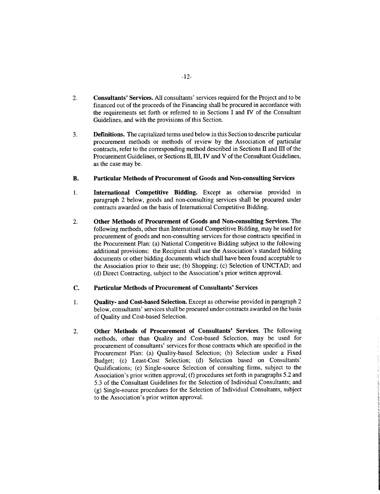- **2. Consultants' Services. All** consultants' services required for the Project and to be financed out of the proceeds of the Financing shall be procured in accordance with the requirements set forth or referred to in Sections **I** and IV of the Consultant Guidelines, and with the provisions of this Section.
- **3.** Definitions. The capitalized terms used below in this Section to describe particular procurement methods or methods of review **by** the Association of particular contracts, refer to the corresponding method described in Sections II and **Ill** of the Procurement Guidelines, or Sections II, III, IV and V of the Consultant Guidelines, as the case may be.

#### B. **Particular Methods of Procurement of Goods and Non-consulting Services**

- 1 **. International Competitive Bidding.** Except as otherwise provided in paragraph 2 below, goods and non-consulting services shall be procured under contracts awarded on the basis of International Competitive Bidding.
- 2. **Other Methods of Procurement of Goods and Non-consulting Services.** The following methods, other than International Competitive Bidding, may be used for procurement of goods and non-consulting services for those contracts specified in the Procurement Plan: (a) National Competitive Bidding subject to the following additional provisions: the Recipient shall use the Association's standard bidding documents or other bidding documents which shall have been found acceptable to the Association prior to their use; **(b)** Shopping; (c) Selection of **UNCTAD;** and **(d)** Direct Contracting, subject to the Association's prior written approval.

#### **C. Particular Methods of Procurement of Consultants'** Services

- 1 **. Quality- and Cost-based Selection. Except** as otherwise provided in paragraph 2 below, consultants' services shall be procured under contracts awarded on the basis of Quality and Cost-based Selection.
- 2. **Other Methods of Procurement of Consultants' Services.** The following methods, other than Quality and Cost-based Selection, may be used for procurement of consultants' services for those contracts which are specified in the Procurement Plan: (a) Quality-based Selection; **(b)** Selection under a Fixed Budget; (c) Least-Cost Selection; **(d)** Selection based on Consultants' Qualifications; (e) Single-source Selection of consulting firms, subject to the Association's prior written approval; **(f)** procedures set forth in paragraphs *5.2* and **5.3** of the Consultant Guidelines for the Selection of Individual Consultants; and **(g)** Single-source procedures for the Selection of Individual Consultants, subject to the Association's prior written approval.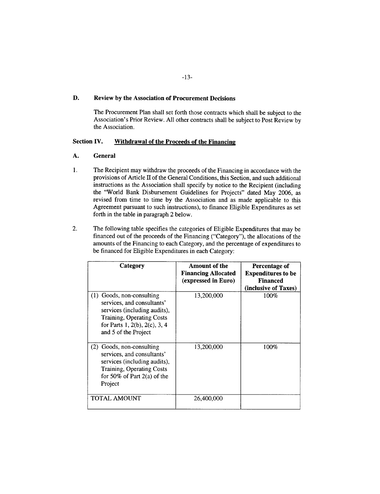## **D. Review by the Association of Procurement Decisions**

The Procurement Plan shall set forth those contracts which shall be subject to the Association's Prior Review. **All** other contracts shall be subject to Post Review **by** the Association.

## **Section IV. Withdrawal of the Proceeds of the Financing**

## **A. General**

- 1. The Recipient may withdraw the proceeds of the Financing in accordance with the provisions of Article Il of the General Conditions, this Section, and such additional instructions as the Association shall specify **by** notice to the Recipient (including the "World Bank Disbursement Guidelines for Projects" dated May **2006,** as revised from time to time **by** the Association and as made applicable to this Agreement pursuant to such instructions), to finance Eligible Expenditures as set forth in the table in paragraph 2 below.
- 2. The following table specifies the categories of Eligible Expenditures that may be financed out of the proceeds of the Financing ("Category"), the allocations of the amounts of the Financing to each Category, and the percentage of expenditures to be financed for Eligible Expenditures in each Category:

| Category                                                                                                                                                                      | Amount of the<br><b>Financing Allocated</b><br>(expressed in Euro) | Percentage of<br><b>Expenditures to be</b><br><b>Financed</b><br>(inclusive of Taxes) |
|-------------------------------------------------------------------------------------------------------------------------------------------------------------------------------|--------------------------------------------------------------------|---------------------------------------------------------------------------------------|
| (1) Goods, non-consulting<br>services, and consultants'<br>services (including audits),<br>Training, Operating Costs<br>for Parts 1, 2(b), 2(c), 3, 4<br>and 5 of the Project | 13,200,000                                                         | 100%                                                                                  |
| (2) Goods, non-consulting<br>services, and consultants'<br>services (including audits),<br>Training, Operating Costs<br>for 50% of Part $2(a)$ of the<br>Project              | 13,200,000                                                         | 100%                                                                                  |
| TOTAL AMOUNT                                                                                                                                                                  | 26,400,000                                                         |                                                                                       |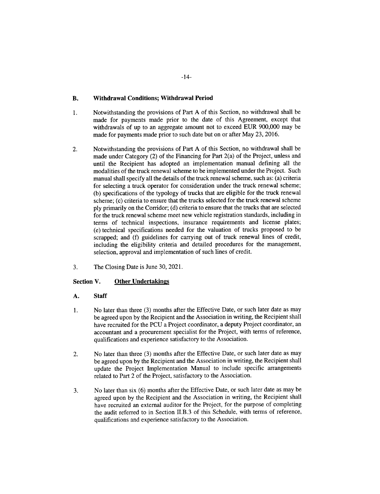## **B. Withdrawal Conditions; Withdrawal Period**

- **1.** Notwithstanding the provisions of Part **A** of this Section, no withdrawal shall be made for payments made prior to the date of this Agreement, except that withdrawals of up to an aggregate amount not to exceed **EUR 900,000** may be made for payments made prior to such date but on or after May **23, 2016.**
- 2. Notwithstanding the provisions of Part **A** of this Section, no withdrawal shall be made under Category (2) of the Financing for Part 2(a) of the Project, unless and until the Recipient has adopted an implementation manual defining all the modalities of the truck renewal scheme to be implemented under the Project. Such manual shall specify all the details of the truck renewal scheme, such as: (a) criteria for selecting a truck operator for consideration under the truck renewal scheme; **(b)** specifications of the typology of trucks that are eligible for the truck renewal scheme; (c) criteria to ensure that the trucks selected for the truck renewal scheme **ply** primarily on the Corridor; **(d)** criteria to ensure that the trucks that are selected for the truck renewal scheme meet new vehicle registration standards, including in terms of technical inspections, insurance requirements and license plates; (e) technical specifications needed for the valuation of trucks proposed to be scrapped; and **(f)** guidelines for carrying out of truck renewal lines of credit, including the eligibility criteria and detailed procedures for the management, selection, approval and implementation of such lines of credit.
- **3.** The Closing Date is June **30,** 2021.

## **Section V.** Other Undertakings

## **A. Staff**

- 1 **.** No later than three **(3)** months after the Effective Date, or such later date as may be agreed upon **by** the Recipient and the Association in writing, the Recipient shall have recruited for the **PCU** a Project coordinator, a deputy Project coordinator, an accountant and a procurement specialist for the Project, with terms of reference, qualifications and experience satisfactory to the Association.
- 2. No later than three **(3)** months after the Effective Date, or such later date as may be agreed upon **by** the Recipient and the Association in writing, the Recipient shall update the Project Implementation Manual to include specific arrangements related to Part 2 of the Project, satisfactory to the Association.
- **3.** No later than six **(6)** months after the Effective Date, or such later date as may be agreed upon **by** the Recipient and the Association in writing, the Recipient shall have recruited an external auditor for the Project, for the purpose of completing the audit referred to in Section II.B.3 of this Schedule, with terms of reference, qualifications and experience satisfactory to the Association.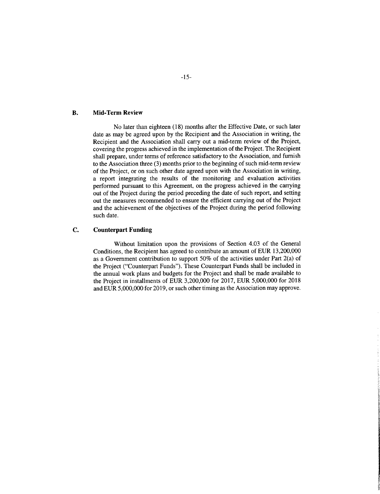## **B. Mid-Term Review**

No later than eighteen **(18)** months after the Effective Date, or such later date as may **be** agreed upon **by** the Recipient and the Association in writing, the Recipient and the Association shall carry out a mid-term review of the Project, covering the progress achieved in the implementation of the Project. The Recipient shall prepare, under terms of reference satisfactory to the Association, and furnish to the Association three **(3)** months prior to the beginning of such mid-term review of the Project, or on such other date agreed upon with the Association in writing, a report integrating the results of the monitoring and evaluation activities performed pursuant to this Agreement, on the progress achieved in the carrying out of the Project during the period preceding the date of such report, and setting out the measures recommended to ensure the efficient carrying out of the Project and the achievement of the objectives of the Project during the period following such date.

#### **C. Counterpart Funding**

Without limitation upon the provisions of Section 4.03 of the General Conditions, the Recipient has agreed to contribute an amount of **EUR 13,200,000** as a Government contribution to support **50%** of the activities under Part 2(a) of the Project ("Counterpart Funds"). These Counterpart Funds shall be included in the annual work plans and budgets for the Project and shall be made available to the Project in installments of **EUR 3,200,000** for **2017, EUR 5,000,000** for **2018** and **EUR 5,000,000** for **2019,** or such other timing as the Association may approve.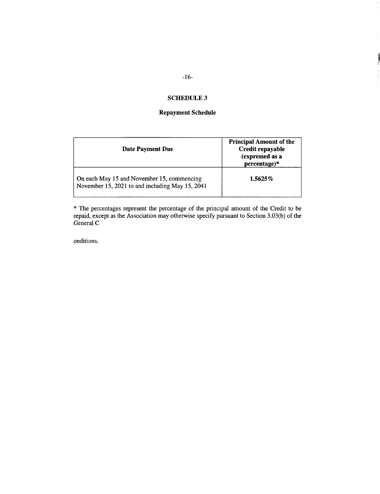## **SCHEDULE 3**

## **Repayment Schedule**

| Date Payment Due                                                                              | <b>Principal Amount of the</b><br>Credit repayable<br>(expressed as a<br>percentage)* |
|-----------------------------------------------------------------------------------------------|---------------------------------------------------------------------------------------|
| On each May 15 and November 15, commencing<br>November 15, 2021 to and including May 15, 2041 | $1.5625\%$                                                                            |

\* The percentages represent the percentage of the principal amount of the Credit to be repaid, except as the Association may otherwise specify pursuant to Section **3.03(b)** of the General **C**

onditions.

**TENNIE**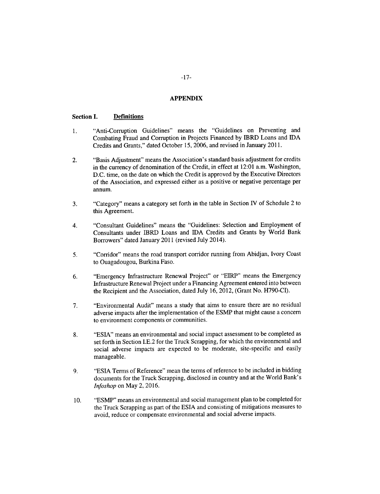## **APPENDIX**

#### **Section I. Definitions**

- 1. "Anti-Corruption Guidelines" means the "Guidelines on Preventing and Combating Fraud and Corruption in Projects Financed **by** IBRD Loans and **IDA** Credits and Grants," dated October *15,* **2006,** and revised in January **2011.**
- 2. "Basis Adjustment" means the Association's standard basis adjustment for credits in the currency of denomination of the Credit, in effect at 12:01 a.m. Washington, **D.C.** time, on the date on which the Credit is approved **by** the Executive Directors of the Association, and expressed either as a positive or negative percentage per annum.
- **3.** "Category" means a category set forth in the table in Section **IV** of Schedule 2 to this Agreement.
- 4. "Consultant Guidelines" means the "Guidelines: Selection and Employment of Consultants under IBRD Loans and IDA Credits and Grants **by** World Bank Borrowers" dated January 2011 (revised July 2014).
- *5.* "Corridor" means the road transport corridor running from Abidjan, Ivory Coast to Ouagadougou, Burkina Faso.
- **6.** "Emergency Infrastructure Renewal Project" or "EIRP" means the Emergency Infrastructure Renewal Project under a Financing Agreement entered into between the Recipient and the Association, dated July **16,** 2012, (Grant No. **H790-CI).**
- **7.** "Environmental Audit" means a study that aims to ensure there are no residual adverse impacts after the implementation of the **ESMP** that might cause a concern to environment components or communities.
- **8. "ESIA"** means an environmental and social impact assessment to be completed as set forth in Section **I.E.2** for the Truck Scrapping, for which the environmental and social adverse impacts are expected to be moderate, site-specific and easily manageable.
- **9. "ESIA** Terms of Reference" mean the terms of reference to be included in bidding documents for the Truck Scrapping, disclosed in country and at the World Bank's *Infoshop* on May 2, **2016.**
- **10. "ESMP"** means an environmental and social management plan to be completed for the Truck Scrapping as part of the **ESIA** and consisting of mitigations measures to avoid, reduce or compensate environmental and social adverse impacts.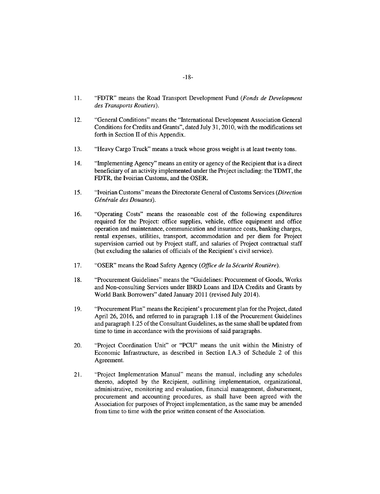- **11.** "FDTR" means the Road Transport Development Fund *(Fonds de Development des Transports Routiers).*
- 12. "General Conditions" means the "International Development Association General Conditions for Credits and Grants", dated July **31,** 2010, with the modifications set forth in Section II of this Appendix.
- **13.** "Heavy Cargo Truck" means a truck whose gross weight is at least twenty tons.
- 14. "Implementing Agency" means an entity or agency of the Recipient that is a direct beneficiary of an activity implemented under the Project including: the TDMT, the FDTR, the Ivoirian Customs, and the OSER.
- *15.* "Ivoirian Customs" means the Directorate General of Customs Services *(Direction Ginirale des Douanes).*
- **16.** "Operating Costs" means the reasonable cost of the following expenditures required for the Project: office supplies, vehicle, office equipment and office operation and maintenance, communication and insurance costs, banking charges, rental expenses, utilities, transport, accommodation and per diem for Project supervision carried out **by** Project staff, and salaries of Project contractual staff (but excluding the salaries of officials of the Recipient's civil service).
- 17. **"OSER"** means the Road Safety Agency *(Office de la Sécurité Routière)*.
- **18.** "Procurement Guidelines" means the "Guidelines: Procurement of Goods, Works and Non-consulting Services under IBRD Loans and **IDA** Credits and Grants **by** World Bank Borrowers" dated January 2011 (revised July 2014).
- **19.** "Procurement Plan" means the Recipient's procurement plan for the Project, dated April **26, 2016,** and referred to in paragraph **1.18** of the Procurement Guidelines and paragraph **1.25** of the Consultant Guidelines, as the same shall be updated from time to time in accordance with the provisions of said paragraphs.
- 20. "Project Coordination Unit" or **"PCU"** means the unit within the Ministry of Economic Infrastructure, as described in Section I.A.3 of Schedule 2 of this Agreement.
- 21. "Project Implementation Manual" means the manual, including any schedules thereto, adopted **by** the Recipient, outlining implementation, organizational, administrative, monitoring and evaluation, financial management, disbursement, procurement and accounting procedures, as shall have been agreed with the Association for purposes of Project implementation, as the same may be amended from time to time with the prior written consent of the Association.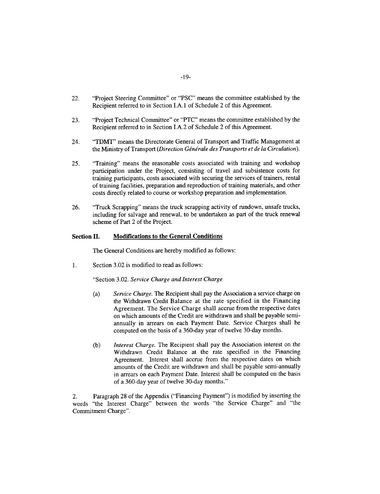- 22. "Project Steering Committee" or **"PSC"** means the committee established **by** the Recipient referred to in Section **I.A.** 1 of Schedule 2 of this Agreement.
- **23.** "Project Technical Committee" or "PTC" means the committee established **by** the Recipient referred to in Section I.A.2 of Schedule 2 of this Agreement.
- 24. "TDMT" means the Directorate General of Transport and Traffic Management at the Ministry of Transport *(Direction Gingrale des Transports et de la Circulation).*
- *25.* "Training" means the reasonable costs associated with training and workshop participation under the Project, consisting of travel and subsistence costs for training participants, costs associated with securing the services of trainers, rental of training facilities, preparation and reproduction of training materials, and other costs directly related to course or workshop preparation and implementation.
- **26.** "Truck Scrapping" means the truck scrapping activity of rundown, unsafe trucks, including for salvage and renewal, to be undertaken as part of the truck renewal scheme of Part 2 of the Project.

## **Section II. Modifications to the General Conditions**

The **General** Conditions **are** hereby modified as follows:

**1.** Section **3.02** is modified to read as **follows:**

"Section **3.02.** *Service Charge and Interest Charge*

- (a) *Service Charge.* The Recipient shall pay the Association a service charge on the Withdrawn Credit Balance at the rate specified in the Financing Agreement. The Service Charge shall accrue from the respective dates on which amounts of the Credit are withdrawn and shall be payable semiannually in arrears on each Payment Date. Service Charges shall be computed on the basis of a 360-day year of twelve 30-day months.
- **(b)** *Interest Charge.* The Recipient shall pay the Association interest on the Withdrawn Credit Balance at the rate specified in the Financing Agreement. Interest shall accrue from the respective dates on which amounts of the Credit are withdrawn and shall be payable semi-annually in arrears on each Payment Date. Interest shall be computed on the basis of a 360-day year of twelve 30-day months."

2. Paragraph 28 of the Appendix ("Financing Payment") is modified **by** inserting the words "the Interest Charge" between the words "the Service Charge" and "the Commitment Charge".